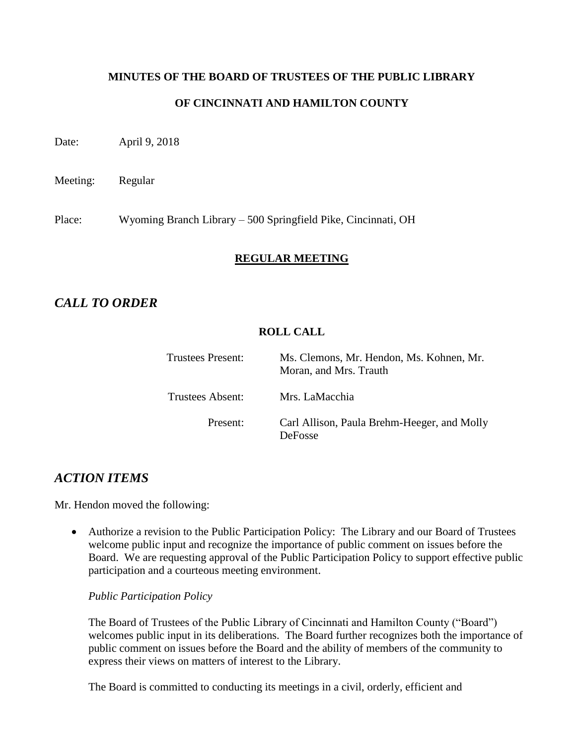# **MINUTES OF THE BOARD OF TRUSTEES OF THE PUBLIC LIBRARY OF CINCINNATI AND HAMILTON COUNTY**

Date: April 9, 2018

Meeting: Regular

Place: Wyoming Branch Library – 500 Springfield Pike, Cincinnati, OH

# **REGULAR MEETING**

# *CALL TO ORDER*

# **ROLL CALL**

| <b>Trustees Present:</b> | Ms. Clemons, Mr. Hendon, Ms. Kohnen, Mr.<br>Moran, and Mrs. Trauth |
|--------------------------|--------------------------------------------------------------------|
| Trustees Absent:         | Mrs. LaMacchia                                                     |
| Present:                 | Carl Allison, Paula Brehm-Heeger, and Molly<br><b>DeFosse</b>      |

# *ACTION ITEMS*

Mr. Hendon moved the following:

 Authorize a revision to the Public Participation Policy: The Library and our Board of Trustees welcome public input and recognize the importance of public comment on issues before the Board. We are requesting approval of the Public Participation Policy to support effective public participation and a courteous meeting environment.

*Public Participation Policy*

The Board of Trustees of the Public Library of Cincinnati and Hamilton County ("Board") welcomes public input in its deliberations. The Board further recognizes both the importance of public comment on issues before the Board and the ability of members of the community to express their views on matters of interest to the Library.

The Board is committed to conducting its meetings in a civil, orderly, efficient and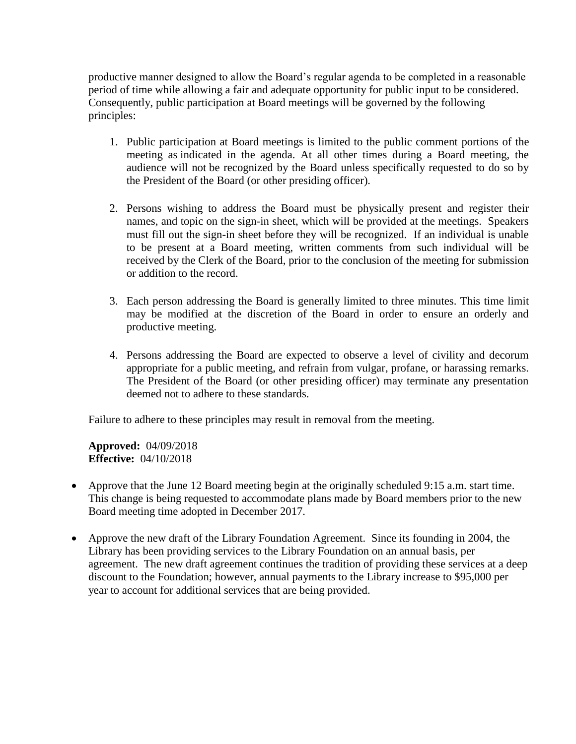productive manner designed to allow the Board's regular agenda to be completed in a reasonable period of time while allowing a fair and adequate opportunity for public input to be considered. Consequently, public participation at Board meetings will be governed by the following principles:

- 1. Public participation at Board meetings is limited to the public comment portions of the meeting as indicated in the agenda. At all other times during a Board meeting, the audience will not be recognized by the Board unless specifically requested to do so by the President of the Board (or other presiding officer).
- 2. Persons wishing to address the Board must be physically present and register their names, and topic on the sign-in sheet, which will be provided at the meetings. Speakers must fill out the sign-in sheet before they will be recognized. If an individual is unable to be present at a Board meeting, written comments from such individual will be received by the Clerk of the Board, prior to the conclusion of the meeting for submission or addition to the record.
- 3. Each person addressing the Board is generally limited to three minutes. This time limit may be modified at the discretion of the Board in order to ensure an orderly and productive meeting.
- 4. Persons addressing the Board are expected to observe a level of civility and decorum appropriate for a public meeting, and refrain from vulgar, profane, or harassing remarks. The President of the Board (or other presiding officer) may terminate any presentation deemed not to adhere to these standards.

Failure to adhere to these principles may result in removal from the meeting.

**Approved:** 04/09/2018 **Effective:** 04/10/2018

- Approve that the June 12 Board meeting begin at the originally scheduled 9:15 a.m. start time. This change is being requested to accommodate plans made by Board members prior to the new Board meeting time adopted in December 2017.
- Approve the new draft of the Library Foundation Agreement. Since its founding in 2004, the Library has been providing services to the Library Foundation on an annual basis, per agreement. The new draft agreement continues the tradition of providing these services at a deep discount to the Foundation; however, annual payments to the Library increase to \$95,000 per year to account for additional services that are being provided.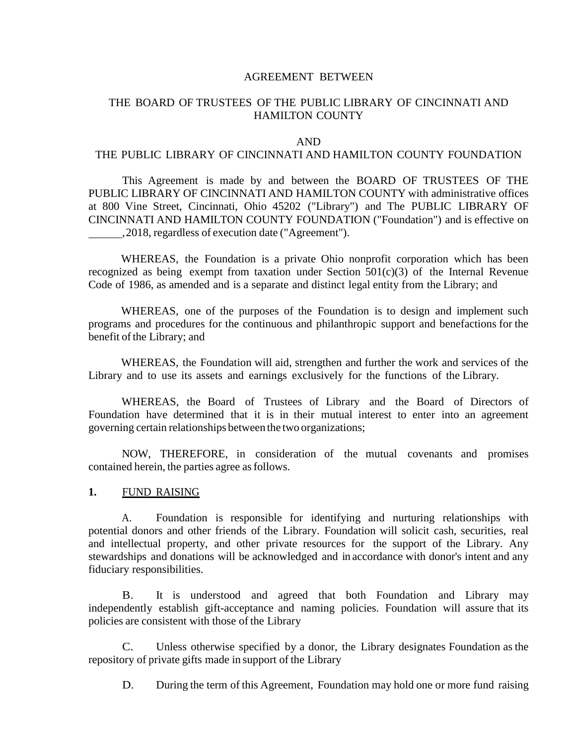#### AGREEMENT BETWEEN

### THE BOARD OF TRUSTEES OF THE PUBLIC LIBRARY OF CINCINNATI AND HAMILTON COUNTY

#### AND

#### THE PUBLIC LIBRARY OF CINCINNATI AND HAMILTON COUNTY FOUNDATION

This Agreement is made by and between the BOARD OF TRUSTEES OF THE PUBLIC LIBRARY OF CINCINNATI AND HAMILTON COUNTY with administrative offices at 800 Vine Street, Cincinnati, Ohio 45202 ("Library") and The PUBLIC LIBRARY OF CINCINNATI AND HAMILTON COUNTY FOUNDATION ("Foundation") and is effective on ,2018, regardless of execution date ("Agreement").

WHEREAS, the Foundation is a private Ohio nonprofit corporation which has been recognized as being exempt from taxation under Section  $501(c)(3)$  of the Internal Revenue Code of 1986, as amended and is a separate and distinct legal entity from the Library; and

WHEREAS, one of the purposes of the Foundation is to design and implement such programs and procedures for the continuous and philanthropic support and benefactions for the benefit of the Library; and

WHEREAS, the Foundation will aid, strengthen and further the work and services of the Library and to use its assets and earnings exclusively for the functions of the Library.

WHEREAS, the Board of Trustees of Library and the Board of Directors of Foundation have determined that it is in their mutual interest to enter into an agreement governing certain relationships between the two organizations;

NOW, THEREFORE, in consideration of the mutual covenants and promises contained herein, the parties agree as follows.

#### **1.** FUND RAISING

A. Foundation is responsible for identifying and nurturing relationships with potential donors and other friends of the Library. Foundation will solicit cash, securities, real and intellectual property, and other private resources for the support of the Library. Any stewardships and donations will be acknowledged and in accordance with donor's intent and any fiduciary responsibilities.

B. It is understood and agreed that both Foundation and Library may independently establish gift-acceptance and naming policies. Foundation will assure that its policies are consistent with those of the Library

C. Unless otherwise specified by a donor, the Library designates Foundation as the repository of private gifts made in support of the Library

D. During the term of this Agreement, Foundation may hold one or more fund raising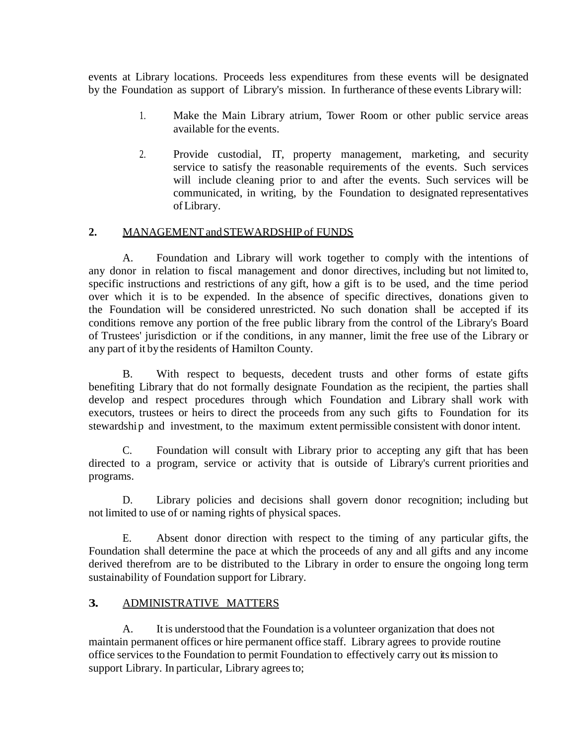events at Library locations. Proceeds less expenditures from these events will be designated by the Foundation as support of Library's mission. In furtherance ofthese events Librarywill:

- 1. Make the Main Library atrium, Tower Room or other public service areas available for the events.
- 2. Provide custodial, IT, property management, marketing, and security service to satisfy the reasonable requirements of the events. Such services will include cleaning prior to and after the events. Such services will be communicated, in writing, by the Foundation to designated representatives ofLibrary.

#### **2.** MANAGEMENT andSTEWARDSHIP of FUNDS

A. Foundation and Library will work together to comply with the intentions of any donor in relation to fiscal management and donor directives, including but not limited to, specific instructions and restrictions of any gift, how a gift is to be used, and the time period over which it is to be expended. In the absence of specific directives, donations given to the Foundation will be considered unrestricted. No such donation shall be accepted if its conditions remove any portion of the free public library from the control of the Library's Board of Trustees' jurisdiction or if the conditions, in any manner, limit the free use of the Library or any part of it bythe residents of Hamilton County.

B. With respect to bequests, decedent trusts and other forms of estate gifts benefiting Library that do not formally designate Foundation as the recipient, the parties shall develop and respect procedures through which Foundation and Library shall work with executors, trustees or heirs to direct the proceeds from any such gifts to Foundation for its stewardship and investment, to the maximum extent permissible consistent with donor intent.

C. Foundation will consult with Library prior to accepting any gift that has been directed to a program, service or activity that is outside of Library's current priorities and programs.

D. Library policies and decisions shall govern donor recognition; including but not limited to use of or naming rights of physical spaces.

E. Absent donor direction with respect to the timing of any particular gifts, the Foundation shall determine the pace at which the proceeds of any and all gifts and any income derived therefrom are to be distributed to the Library in order to ensure the ongoing long term sustainability of Foundation support for Library.

#### **3.** ADMINISTRATIVE MATTERS

A. It is understood that the Foundation is a volunteer organization that does not maintain permanent offices or hire permanent office staff. Library agrees to provide routine office services to the Foundation to permit Foundation to effectively carry out its mission to support Library. In particular, Library agrees to;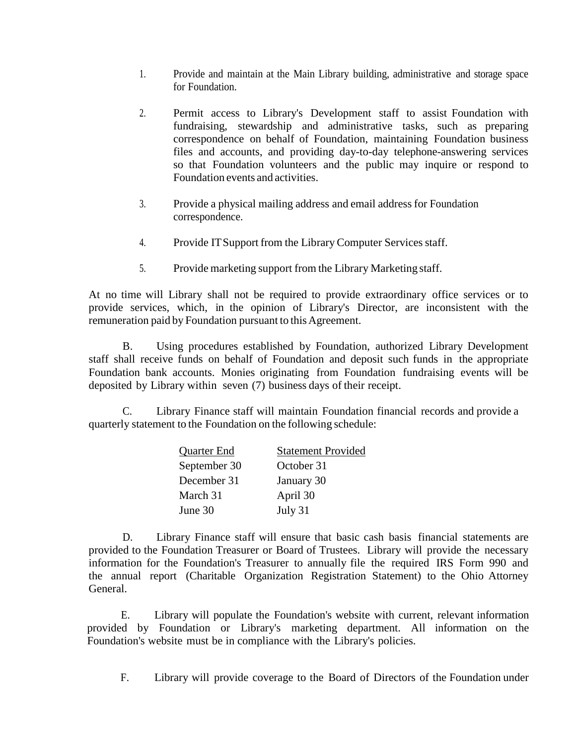- 1. Provide and maintain at the Main Library building, administrative and storage space for Foundation.
- 2. Permit access to Library's Development staff to assist Foundation with fundraising, stewardship and administrative tasks, such as preparing correspondence on behalf of Foundation, maintaining Foundation business files and accounts, and providing day-to-day telephone-answering services so that Foundation volunteers and the public may inquire or respond to Foundation events and activities.
- 3. Provide a physical mailing address and email address for Foundation correspondence.
- 4. Provide IT Support from the Library Computer Services staff.
- 5. Provide marketing support from the Library Marketing staff.

At no time will Library shall not be required to provide extraordinary office services or to provide services, which, in the opinion of Library's Director, are inconsistent with the remuneration paid by Foundation pursuant to this Agreement.

B. Using procedures established by Foundation, authorized Library Development staff shall receive funds on behalf of Foundation and deposit such funds in the appropriate Foundation bank accounts. Monies originating from Foundation fundraising events will be deposited by Library within seven (7) business days of their receipt.

C. Library Finance staff will maintain Foundation financial records and provide a quarterly statement to the Foundation on the following schedule:

| Quarter End  | <b>Statement Provided</b> |
|--------------|---------------------------|
| September 30 | October 31                |
| December 31  | January 30                |
| March 31     | April 30                  |
| June 30      | July 31                   |

D. Library Finance staff will ensure that basic cash basis financial statements are provided to the Foundation Treasurer or Board of Trustees. Library will provide the necessary information for the Foundation's Treasurer to annually file the required IRS Form 990 and the annual report (Charitable Organization Registration Statement) to the Ohio Attorney General.

E. Library will populate the Foundation's website with current, relevant information provided by Foundation or Library's marketing department. All information on the Foundation's website must be in compliance with the Library's policies.

F. Library will provide coverage to the Board of Directors of the Foundation under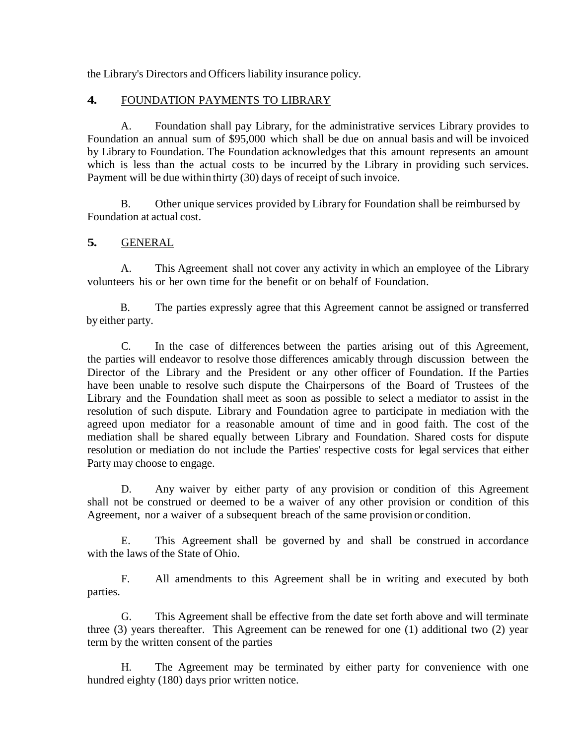the Library's Directors and Officers liability insurance policy.

# **4.** FOUNDATION PAYMENTS TO LIBRARY

A. Foundation shall pay Library, for the administrative services Library provides to Foundation an annual sum of \$95,000 which shall be due on annual basis and will be invoiced by Library to Foundation. The Foundation acknowledges that this amount represents an amount which is less than the actual costs to be incurred by the Library in providing such services. Payment will be due within thirty (30) days of receipt of such invoice.

B. Other unique services provided by Library for Foundation shall be reimbursed by Foundation at actual cost.

# **5.** GENERAL

A. This Agreement shall not cover any activity in which an employee of the Library volunteers his or her own time for the benefit or on behalf of Foundation.

B. The parties expressly agree that this Agreement cannot be assigned or transferred by either party.

C. In the case of differences between the parties arising out of this Agreement, the parties will endeavor to resolve those differences amicably through discussion between the Director of the Library and the President or any other officer of Foundation. If the Parties have been unable to resolve such dispute the Chairpersons of the Board of Trustees of the Library and the Foundation shall meet as soon as possible to select a mediator to assist in the resolution of such dispute. Library and Foundation agree to participate in mediation with the agreed upon mediator for a reasonable amount of time and in good faith. The cost of the mediation shall be shared equally between Library and Foundation. Shared costs for dispute resolution or mediation do not include the Parties' respective costs for legal services that either Party may choose to engage.

D. Any waiver by either party of any provision or condition of this Agreement shall not be construed or deemed to be a waiver of any other provision or condition of this Agreement, nor a waiver of a subsequent breach of the same provision or condition.

E. This Agreement shall be governed by and shall be construed in accordance with the laws of the State of Ohio.

F. All amendments to this Agreement shall be in writing and executed by both parties.

G. This Agreement shall be effective from the date set forth above and will terminate three (3) years thereafter. This Agreement can be renewed for one (1) additional two (2) year term by the written consent of the parties

H. The Agreement may be terminated by either party for convenience with one hundred eighty (180) days prior written notice.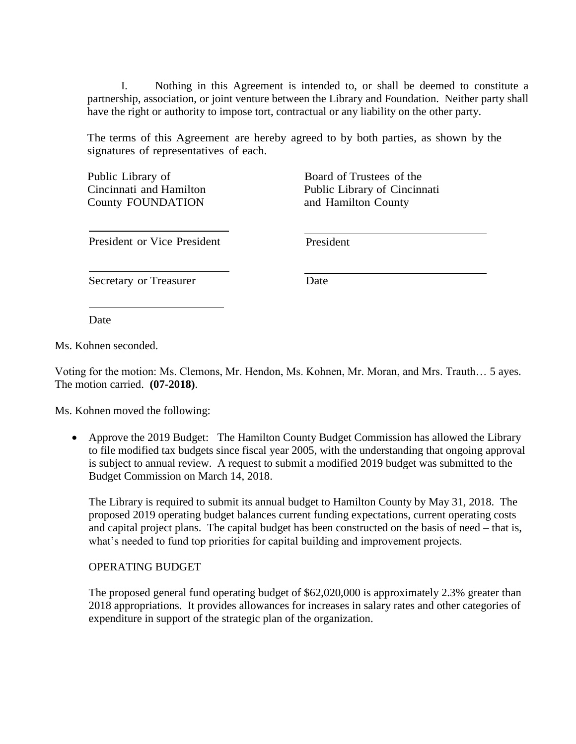I. Nothing in this Agreement is intended to, or shall be deemed to constitute a partnership, association, or joint venture between the Library and Foundation. Neither party shall have the right or authority to impose tort, contractual or any liability on the other party.

The terms of this Agreement are hereby agreed to by both parties, as shown by the signatures of representatives of each.

Public Library of Cincinnati and Hamilton County FOUNDATION

Board of Trustees of the Public Library of Cincinnati and Hamilton County

President or Vice President President

Secretary or Treasurer Date

Date

Ms. Kohnen seconded.

Voting for the motion: Ms. Clemons, Mr. Hendon, Ms. Kohnen, Mr. Moran, and Mrs. Trauth… 5 ayes. The motion carried. **(07-2018)**.

Ms. Kohnen moved the following:

• Approve the 2019 Budget: The Hamilton County Budget Commission has allowed the Library to file modified tax budgets since fiscal year 2005, with the understanding that ongoing approval is subject to annual review. A request to submit a modified 2019 budget was submitted to the Budget Commission on March 14, 2018.

The Library is required to submit its annual budget to Hamilton County by May 31, 2018. The proposed 2019 operating budget balances current funding expectations, current operating costs and capital project plans. The capital budget has been constructed on the basis of need – that is, what's needed to fund top priorities for capital building and improvement projects.

#### OPERATING BUDGET

The proposed general fund operating budget of \$62,020,000 is approximately 2.3% greater than 2018 appropriations. It provides allowances for increases in salary rates and other categories of expenditure in support of the strategic plan of the organization.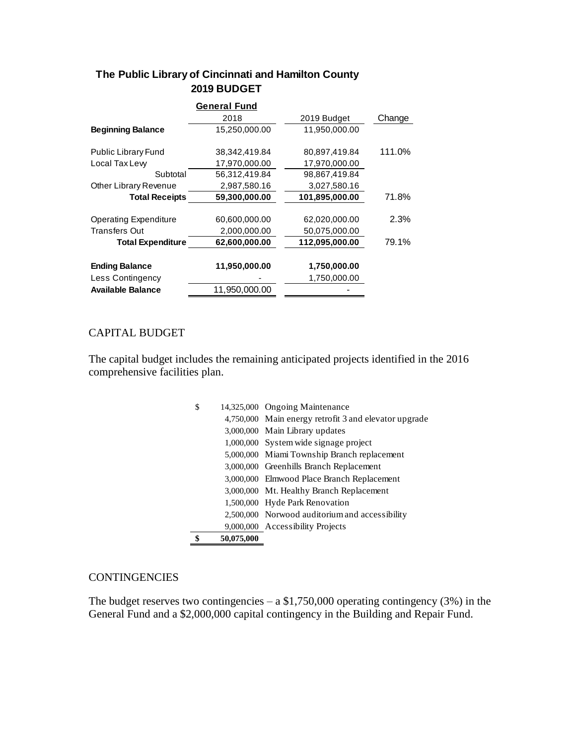# **The Public Library of Cincinnati and Hamilton County 2019 BUDGET**

|                              | <b>General Fund</b> |                |        |
|------------------------------|---------------------|----------------|--------|
|                              | 2018                | 2019 Budget    | Change |
| <b>Beginning Balance</b>     | 15,250,000.00       | 11,950,000.00  |        |
| Public Library Fund          | 38,342,419.84       | 80,897,419.84  | 111.0% |
| Local Tax Lew                | 17,970,000.00       | 17,970,000.00  |        |
| Subtotal                     | 56,312,419.84       | 98,867,419.84  |        |
| Other Library Revenue        | 2,987,580.16        | 3,027,580.16   |        |
| <b>Total Receipts</b>        | 59,300,000.00       | 101,895,000.00 | 71.8%  |
|                              |                     |                |        |
| <b>Operating Expenditure</b> | 60,600,000.00       | 62,020,000.00  | 2.3%   |
| <b>Transfers Out</b>         | 2,000,000.00        | 50,075,000.00  |        |
| <b>Total Expenditure</b>     | 62,600,000.00       | 112,095,000.00 | 79.1%  |
|                              |                     |                |        |
| <b>Ending Balance</b>        | 11,950,000.00       | 1,750,000.00   |        |
| Less Contingency             |                     | 1,750,000.00   |        |
| <b>Available Balance</b>     | 11,950,000.00       |                |        |
|                              |                     |                |        |

# CAPITAL BUDGET

The capital budget includes the remaining anticipated projects identified in the 2016 comprehensive facilities plan.

| 50,075,000 |                                                       |
|------------|-------------------------------------------------------|
|            | 9,000,000 Accessibility Projects                      |
|            | 2,500,000 Norwood auditorium and accessibility        |
|            | 1,500,000 Hyde Park Renovation                        |
|            | 3,000,000 Mt. Healthy Branch Replacement              |
|            | 3,000,000 Elmwood Place Branch Replacement            |
|            | 3,000,000 Greenhills Branch Replacement               |
|            | 5,000,000 Miami Township Branch replacement           |
|            | 1,000,000 System wide signage project                 |
|            | 3,000,000 Main Library updates                        |
|            | 4,750,000 Main energy retrofit 3 and elevator upgrade |
| \$         | 14,325,000 Ongoing Maintenance                        |

#### **CONTINGENCIES**

The budget reserves two contingencies – a  $$1,750,000$  operating contingency (3%) in the General Fund and a \$2,000,000 capital contingency in the Building and Repair Fund.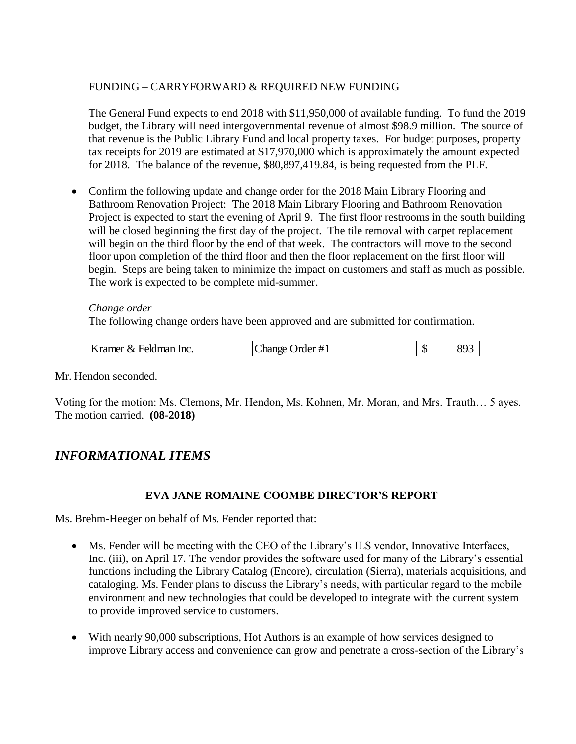# FUNDING – CARRYFORWARD & REQUIRED NEW FUNDING

The General Fund expects to end 2018 with \$11,950,000 of available funding. To fund the 2019 budget, the Library will need intergovernmental revenue of almost \$98.9 million. The source of that revenue is the Public Library Fund and local property taxes. For budget purposes, property tax receipts for 2019 are estimated at \$17,970,000 which is approximately the amount expected for 2018. The balance of the revenue, \$80,897,419.84, is being requested from the PLF.

 Confirm the following update and change order for the 2018 Main Library Flooring and Bathroom Renovation Project: The 2018 Main Library Flooring and Bathroom Renovation Project is expected to start the evening of April 9. The first floor restrooms in the south building will be closed beginning the first day of the project. The tile removal with carpet replacement will begin on the third floor by the end of that week. The contractors will move to the second floor upon completion of the third floor and then the floor replacement on the first floor will begin. Steps are being taken to minimize the impact on customers and staff as much as possible. The work is expected to be complete mid-summer.

*Change order* The following change orders have been approved and are submitted for confirmation.

| Kramer & Feldman Inc. | Change Order #1 | 893 |
|-----------------------|-----------------|-----|
|                       |                 |     |

Mr. Hendon seconded.

Voting for the motion: Ms. Clemons, Mr. Hendon, Ms. Kohnen, Mr. Moran, and Mrs. Trauth… 5 ayes. The motion carried. **(08-2018)**

# *INFORMATIONAL ITEMS*

# **EVA JANE ROMAINE COOMBE DIRECTOR'S REPORT**

Ms. Brehm-Heeger on behalf of Ms. Fender reported that:

- Ms. Fender will be meeting with the CEO of the Library's ILS vendor, Innovative Interfaces, Inc. (iii), on April 17. The vendor provides the software used for many of the Library's essential functions including the Library Catalog (Encore), circulation (Sierra), materials acquisitions, and cataloging. Ms. Fender plans to discuss the Library's needs, with particular regard to the mobile environment and new technologies that could be developed to integrate with the current system to provide improved service to customers.
- With nearly 90,000 subscriptions, Hot Authors is an example of how services designed to improve Library access and convenience can grow and penetrate a cross-section of the Library's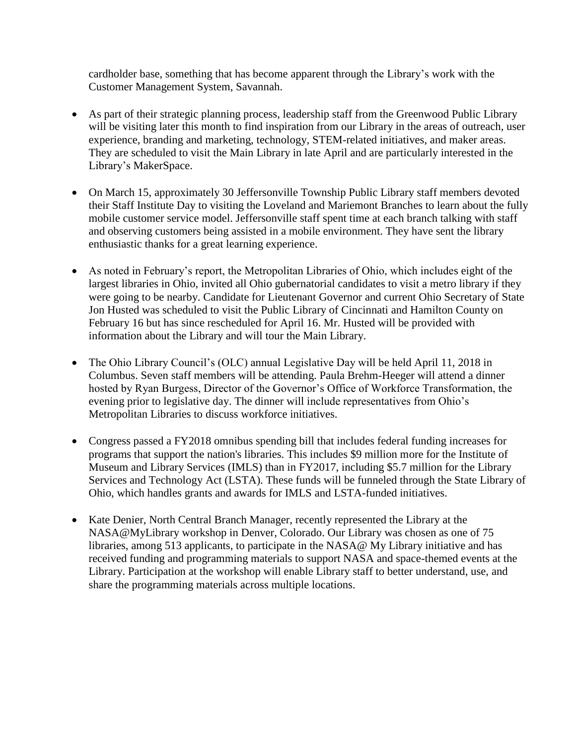cardholder base, something that has become apparent through the Library's work with the Customer Management System, Savannah.

- As part of their strategic planning process, leadership staff from the Greenwood Public Library will be visiting later this month to find inspiration from our Library in the areas of outreach, user experience, branding and marketing, technology, STEM-related initiatives, and maker areas. They are scheduled to visit the Main Library in late April and are particularly interested in the Library's MakerSpace.
- On March 15, approximately 30 Jeffersonville Township Public Library staff members devoted their Staff Institute Day to visiting the Loveland and Mariemont Branches to learn about the fully mobile customer service model. Jeffersonville staff spent time at each branch talking with staff and observing customers being assisted in a mobile environment. They have sent the library enthusiastic thanks for a great learning experience.
- As noted in February's report, the Metropolitan Libraries of Ohio, which includes eight of the largest libraries in Ohio, invited all Ohio gubernatorial candidates to visit a metro library if they were going to be nearby. Candidate for Lieutenant Governor and current Ohio Secretary of State Jon Husted was scheduled to visit the Public Library of Cincinnati and Hamilton County on February 16 but has since rescheduled for April 16. Mr. Husted will be provided with information about the Library and will tour the Main Library.
- The Ohio Library Council's (OLC) annual Legislative Day will be held April 11, 2018 in Columbus. Seven staff members will be attending. Paula Brehm-Heeger will attend a dinner hosted by Ryan Burgess, Director of the Governor's Office of Workforce Transformation, the evening prior to legislative day. The dinner will include representatives from Ohio's Metropolitan Libraries to discuss workforce initiatives.
- Congress passed a FY2018 omnibus spending bill that includes federal funding increases for programs that support the nation's libraries. This includes \$9 million more for the Institute of Museum and Library Services (IMLS) than in FY2017, including \$5.7 million for the Library Services and Technology Act (LSTA). These funds will be funneled through the State Library of Ohio, which handles grants and awards for IMLS and LSTA-funded initiatives.
- Kate Denier, North Central Branch Manager, recently represented the Library at the NASA@MyLibrary workshop in Denver, Colorado. Our Library was chosen as one of 75 libraries, among 513 applicants, to participate in the NASA@ My Library initiative and has received funding and programming materials to support NASA and space-themed events at the Library. Participation at the workshop will enable Library staff to better understand, use, and share the programming materials across multiple locations.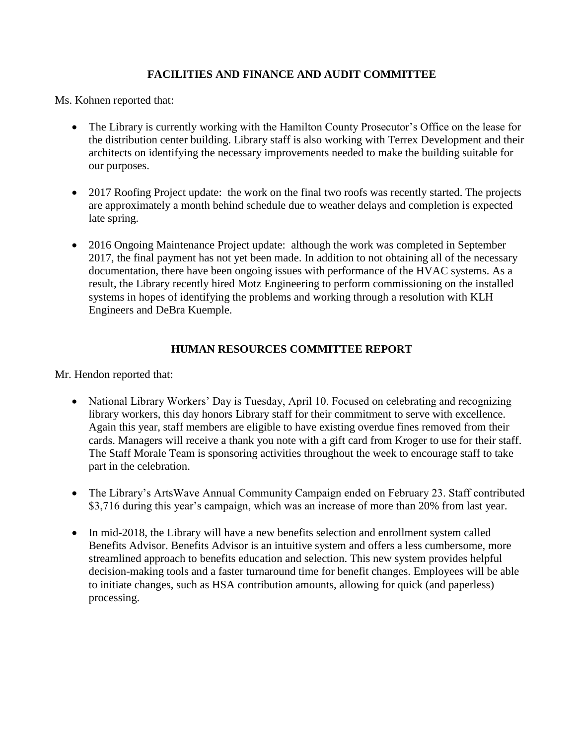# **FACILITIES AND FINANCE AND AUDIT COMMITTEE**

Ms. Kohnen reported that:

- The Library is currently working with the Hamilton County Prosecutor's Office on the lease for the distribution center building. Library staff is also working with Terrex Development and their architects on identifying the necessary improvements needed to make the building suitable for our purposes.
- 2017 Roofing Project update: the work on the final two roofs was recently started. The projects are approximately a month behind schedule due to weather delays and completion is expected late spring.
- 2016 Ongoing Maintenance Project update: although the work was completed in September 2017, the final payment has not yet been made. In addition to not obtaining all of the necessary documentation, there have been ongoing issues with performance of the HVAC systems. As a result, the Library recently hired Motz Engineering to perform commissioning on the installed systems in hopes of identifying the problems and working through a resolution with KLH Engineers and DeBra Kuemple.

# **HUMAN RESOURCES COMMITTEE REPORT**

Mr. Hendon reported that:

- National Library Workers' Day is Tuesday, April 10. Focused on celebrating and recognizing library workers, this day honors Library staff for their commitment to serve with excellence. Again this year, staff members are eligible to have existing overdue fines removed from their cards. Managers will receive a thank you note with a gift card from Kroger to use for their staff. The Staff Morale Team is sponsoring activities throughout the week to encourage staff to take part in the celebration.
- The Library's ArtsWave Annual Community Campaign ended on February 23. Staff contributed \$3,716 during this year's campaign, which was an increase of more than 20% from last year.
- In mid-2018, the Library will have a new benefits selection and enrollment system called Benefits Advisor. Benefits Advisor is an intuitive system and offers a less cumbersome, more streamlined approach to benefits education and selection. This new system provides helpful decision-making tools and a faster turnaround time for benefit changes. Employees will be able to initiate changes, such as HSA contribution amounts, allowing for quick (and paperless) processing.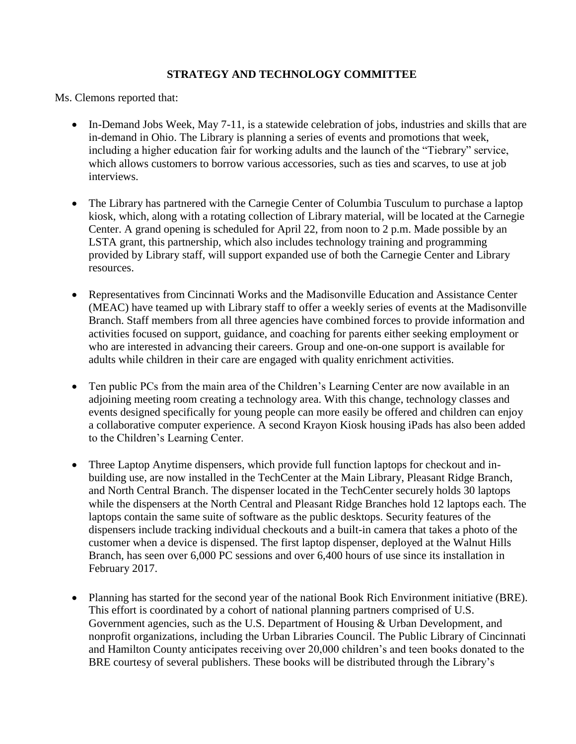# **STRATEGY AND TECHNOLOGY COMMITTEE**

Ms. Clemons reported that:

- In-Demand Jobs Week, May 7-11, is a statewide celebration of jobs, industries and skills that are in-demand in Ohio. The Library is planning a series of events and promotions that week, including a higher education fair for working adults and the launch of the "Tiebrary" service, which allows customers to borrow various accessories, such as ties and scarves, to use at job interviews.
- The Library has partnered with the Carnegie Center of Columbia Tusculum to purchase a laptop kiosk, which, along with a rotating collection of Library material, will be located at the Carnegie Center. A grand opening is scheduled for April 22, from noon to 2 p.m. Made possible by an LSTA grant, this partnership, which also includes technology training and programming provided by Library staff, will support expanded use of both the Carnegie Center and Library resources.
- Representatives from Cincinnati Works and the Madisonville Education and Assistance Center (MEAC) have teamed up with Library staff to offer a weekly series of events at the Madisonville Branch. Staff members from all three agencies have combined forces to provide information and activities focused on support, guidance, and coaching for parents either seeking employment or who are interested in advancing their careers. Group and one-on-one support is available for adults while children in their care are engaged with quality enrichment activities.
- Ten public PCs from the main area of the Children's Learning Center are now available in an adjoining meeting room creating a technology area. With this change, technology classes and events designed specifically for young people can more easily be offered and children can enjoy a collaborative computer experience. A second Krayon Kiosk housing iPads has also been added to the Children's Learning Center.
- Three Laptop Anytime dispensers, which provide full function laptops for checkout and inbuilding use, are now installed in the TechCenter at the Main Library, Pleasant Ridge Branch, and North Central Branch. The dispenser located in the TechCenter securely holds 30 laptops while the dispensers at the North Central and Pleasant Ridge Branches hold 12 laptops each. The laptops contain the same suite of software as the public desktops. Security features of the dispensers include tracking individual checkouts and a built-in camera that takes a photo of the customer when a device is dispensed. The first laptop dispenser, deployed at the Walnut Hills Branch, has seen over 6,000 PC sessions and over 6,400 hours of use since its installation in February 2017.
- Planning has started for the second year of the national Book Rich Environment initiative (BRE). This effort is coordinated by a cohort of national planning partners comprised of U.S. Government agencies, such as the U.S. Department of Housing & Urban Development, and nonprofit organizations, including the Urban Libraries Council. The Public Library of Cincinnati and Hamilton County anticipates receiving over 20,000 children's and teen books donated to the BRE courtesy of several publishers. These books will be distributed through the Library's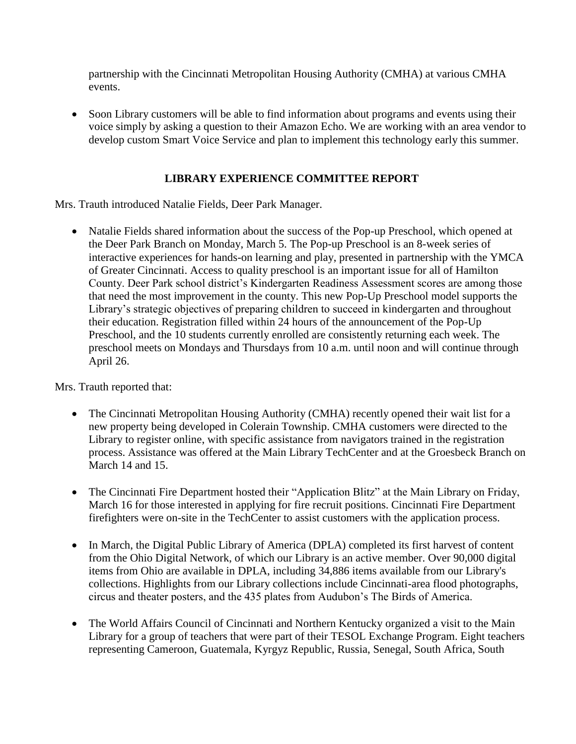partnership with the Cincinnati Metropolitan Housing Authority (CMHA) at various CMHA events.

 Soon Library customers will be able to find information about programs and events using their voice simply by asking a question to their Amazon Echo. We are working with an area vendor to develop custom Smart Voice Service and plan to implement this technology early this summer.

# **LIBRARY EXPERIENCE COMMITTEE REPORT**

Mrs. Trauth introduced Natalie Fields, Deer Park Manager.

• Natalie Fields shared information about the success of the Pop-up Preschool, which opened at the Deer Park Branch on Monday, March 5. The Pop-up Preschool is an 8-week series of interactive experiences for hands-on learning and play, presented in partnership with the YMCA of Greater Cincinnati. Access to quality preschool is an important issue for all of Hamilton County. Deer Park school district's Kindergarten Readiness Assessment scores are among those that need the most improvement in the county. This new Pop-Up Preschool model supports the Library's strategic objectives of preparing children to succeed in kindergarten and throughout their education. Registration filled within 24 hours of the announcement of the Pop-Up Preschool, and the 10 students currently enrolled are consistently returning each week. The preschool meets on Mondays and Thursdays from 10 a.m. until noon and will continue through April 26.

Mrs. Trauth reported that:

- The Cincinnati Metropolitan Housing Authority (CMHA) recently opened their wait list for a new property being developed in Colerain Township. CMHA customers were directed to the Library to register online, with specific assistance from navigators trained in the registration process. Assistance was offered at the Main Library TechCenter and at the Groesbeck Branch on March 14 and 15.
- The Cincinnati Fire Department hosted their "Application Blitz" at the Main Library on Friday, March 16 for those interested in applying for fire recruit positions. Cincinnati Fire Department firefighters were on-site in the TechCenter to assist customers with the application process.
- In March, the Digital Public Library of America (DPLA) completed its first harvest of content from the Ohio Digital Network, of which our Library is an active member. Over 90,000 digital items from Ohio are available in DPLA, including 34,886 items available from our Library's collections. Highlights from our Library collections include Cincinnati-area flood photographs, circus and theater posters, and the 435 plates from Audubon's The Birds of America.
- The World Affairs Council of Cincinnati and Northern Kentucky organized a visit to the Main Library for a group of teachers that were part of their TESOL Exchange Program. Eight teachers representing Cameroon, Guatemala, Kyrgyz Republic, Russia, Senegal, South Africa, South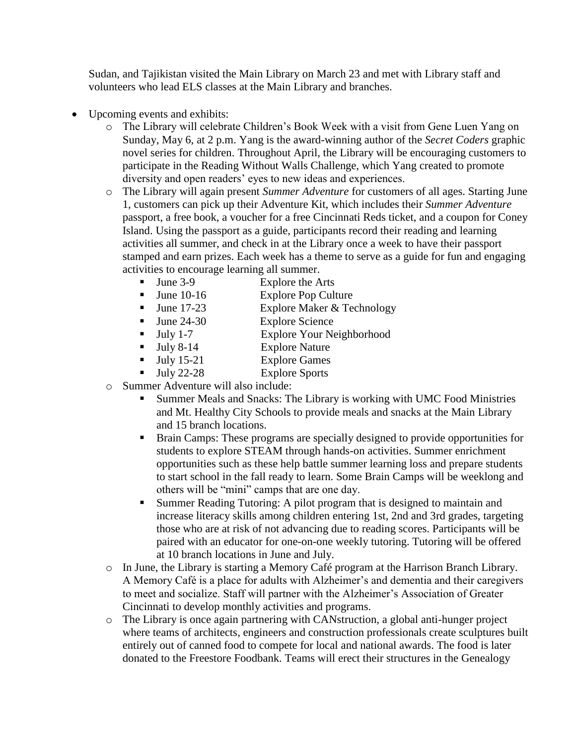Sudan, and Tajikistan visited the Main Library on March 23 and met with Library staff and volunteers who lead ELS classes at the Main Library and branches.

- Upcoming events and exhibits:
	- o The Library will celebrate Children's Book Week with a visit from Gene Luen Yang on Sunday, May 6, at 2 p.m. Yang is the award-winning author of the *Secret Coders* graphic novel series for children. Throughout April, the Library will be encouraging customers to participate in the Reading Without Walls Challenge, which Yang created to promote diversity and open readers' eyes to new ideas and experiences.
	- o The Library will again present *Summer Adventure* for customers of all ages. Starting June 1, customers can pick up their Adventure Kit, which includes their *Summer Adventure* passport, a free book, a voucher for a free Cincinnati Reds ticket, and a coupon for Coney Island. Using the passport as a guide, participants record their reading and learning activities all summer, and check in at the Library once a week to have their passport stamped and earn prizes. Each week has a theme to serve as a guide for fun and engaging activities to encourage learning all summer.
		- June 3-9 Explore the Arts
		- June 10-16 Explore Pop Culture
		- June 17-23 Explore Maker & Technology
		- June 24-30 Explore Science
		- July 1-7 Explore Your Neighborhood
		- Ully 8-14 Explore Nature
		- July 15-21 Explore Games
		- Ully 22-28 Explore Sports
	- o Summer Adventure will also include:
		- Summer Meals and Snacks: The Library is working with UMC Food Ministries and Mt. Healthy City Schools to provide meals and snacks at the Main Library and 15 branch locations.
		- Brain Camps: These programs are specially designed to provide opportunities for students to explore STEAM through hands-on activities. Summer enrichment opportunities such as these help battle summer learning loss and prepare students to start school in the fall ready to learn. Some Brain Camps will be weeklong and others will be "mini" camps that are one day.
		- Summer Reading Tutoring: A pilot program that is designed to maintain and increase literacy skills among children entering 1st, 2nd and 3rd grades, targeting those who are at risk of not advancing due to reading scores. Participants will be paired with an educator for one-on-one weekly tutoring. Tutoring will be offered at 10 branch locations in June and July.
	- o In June, the Library is starting a Memory Café program at the Harrison Branch Library. A Memory Café is a place for adults with Alzheimer's and dementia and their caregivers to meet and socialize. Staff will partner with the Alzheimer's Association of Greater Cincinnati to develop monthly activities and programs.
	- o The Library is once again partnering with CANstruction, a global anti-hunger project where teams of architects, engineers and construction professionals create sculptures built entirely out of canned food to compete for local and national awards. The food is later donated to the Freestore Foodbank. Teams will erect their structures in the Genealogy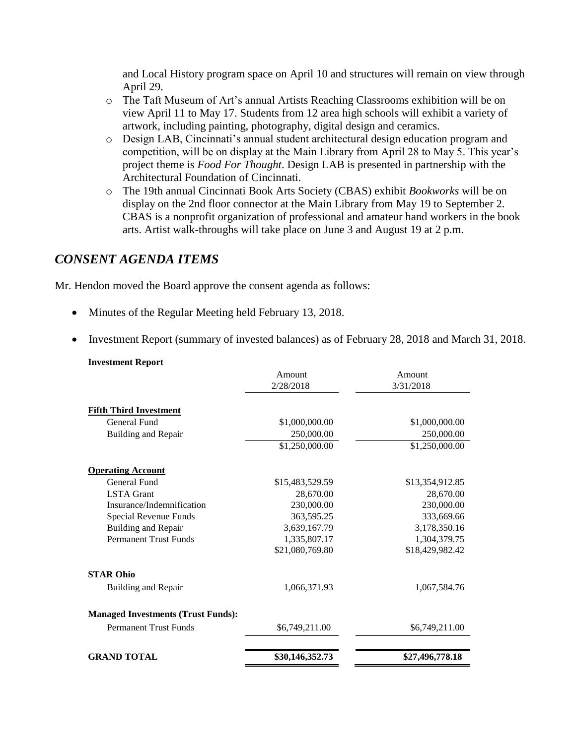and Local History program space on April 10 and structures will remain on view through April 29.

- o The Taft Museum of Art's annual Artists Reaching Classrooms exhibition will be on view April 11 to May 17. Students from 12 area high schools will exhibit a variety of artwork, including painting, photography, digital design and ceramics.
- o Design LAB, Cincinnati's annual student architectural design education program and competition, will be on display at the Main Library from April 28 to May 5. This year's project theme is *Food For Thought*. Design LAB is presented in partnership with the Architectural Foundation of Cincinnati.
- o The 19th annual Cincinnati Book Arts Society (CBAS) exhibit *Bookworks* will be on display on the 2nd floor connector at the Main Library from May 19 to September 2. CBAS is a nonprofit organization of professional and amateur hand workers in the book arts. Artist walk-throughs will take place on June 3 and August 19 at 2 p.m.

# *CONSENT AGENDA ITEMS*

**Investment Report**

Mr. Hendon moved the Board approve the consent agenda as follows:

- Minutes of the Regular Meeting held February 13, 2018.
- Investment Report (summary of invested balances) as of February 28, 2018 and March 31, 2018.

| штемпени кероги                           | Amount          | Amount          |
|-------------------------------------------|-----------------|-----------------|
|                                           | 2/28/2018       | 3/31/2018       |
| <b>Fifth Third Investment</b>             |                 |                 |
| <b>General Fund</b>                       | \$1,000,000.00  | \$1,000,000.00  |
| Building and Repair                       | 250,000.00      | 250,000.00      |
|                                           | \$1,250,000.00  | \$1,250,000.00  |
| <b>Operating Account</b>                  |                 |                 |
| General Fund                              | \$15,483,529.59 | \$13,354,912.85 |
| <b>LSTA</b> Grant                         | 28,670.00       | 28,670.00       |
| Insurance/Indemnification                 | 230,000.00      | 230,000.00      |
| Special Revenue Funds                     | 363,595.25      | 333,669.66      |
| Building and Repair                       | 3,639,167.79    | 3,178,350.16    |
| <b>Permanent Trust Funds</b>              | 1,335,807.17    | 1,304,379.75    |
|                                           | \$21,080,769.80 | \$18,429,982.42 |
| <b>STAR Ohio</b>                          |                 |                 |
| Building and Repair                       | 1,066,371.93    | 1,067,584.76    |
| <b>Managed Investments (Trust Funds):</b> |                 |                 |
| <b>Permanent Trust Funds</b>              | \$6,749,211.00  | \$6,749,211.00  |
| <b>GRAND TOTAL</b>                        | \$30,146,352.73 | \$27,496,778.18 |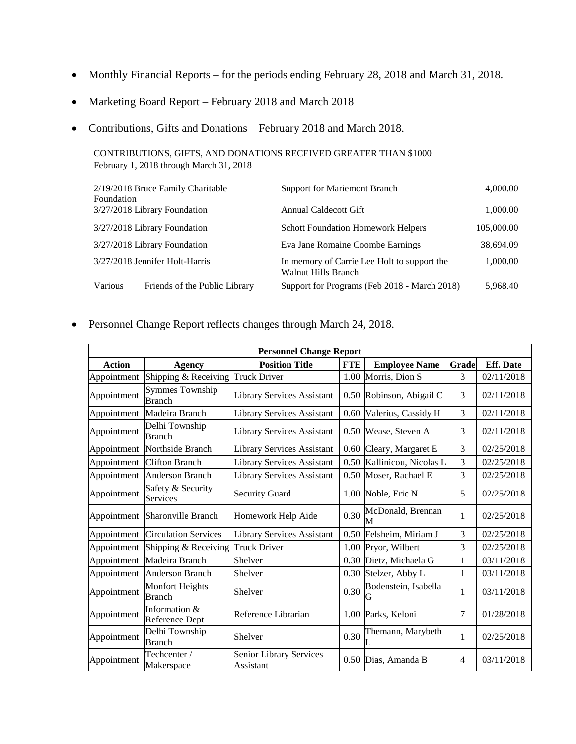- Monthly Financial Reports for the periods ending February 28, 2018 and March 31, 2018.
- Marketing Board Report February 2018 and March 2018
- Contributions, Gifts and Donations February 2018 and March 2018.

CONTRIBUTIONS, GIFTS, AND DONATIONS RECEIVED GREATER THAN \$1000 February 1, 2018 through March 31, 2018

| 2/19/2018 Bruce Family Charitable<br>Foundation |                                | <b>Support for Mariemont Branch</b>                                | 4,000.00   |
|-------------------------------------------------|--------------------------------|--------------------------------------------------------------------|------------|
|                                                 | 3/27/2018 Library Foundation   | Annual Caldecott Gift                                              | 1,000.00   |
|                                                 | 3/27/2018 Library Foundation   | <b>Schott Foundation Homework Helpers</b>                          | 105,000.00 |
|                                                 | 3/27/2018 Library Foundation   | Eva Jane Romaine Coombe Earnings                                   | 38,694.09  |
|                                                 | 3/27/2018 Jennifer Holt-Harris | In memory of Carrie Lee Holt to support the<br>Walnut Hills Branch | 1,000.00   |
| Various                                         | Friends of the Public Library  | Support for Programs (Feb 2018 - March 2018)                       | 5.968.40   |

Personnel Change Report reflects changes through March 24, 2018.

| <b>Personnel Change Report</b> |                                         |                                      |            |                           |       |                  |
|--------------------------------|-----------------------------------------|--------------------------------------|------------|---------------------------|-------|------------------|
| <b>Action</b>                  | <b>Agency</b>                           | <b>Position Title</b>                | <b>FTE</b> | <b>Employee Name</b>      | Grade | <b>Eff.</b> Date |
| Appointment                    | Shipping & Receiving                    | <b>Truck Driver</b>                  | 1.00       | Morris, Dion S            | 3     | 02/11/2018       |
| Appointment                    | <b>Symmes Township</b><br><b>Branch</b> | Library Services Assistant           |            | 0.50 Robinson, Abigail C  | 3     | 02/11/2018       |
| Appointment                    | Madeira Branch                          | <b>Library Services Assistant</b>    | 0.60       | Valerius, Cassidy H       | 3     | 02/11/2018       |
| Appointment                    | Delhi Township<br><b>Branch</b>         | <b>Library Services Assistant</b>    | 0.50       | Wease, Steven A           | 3     | 02/11/2018       |
| Appointment                    | Northside Branch                        | <b>Library Services Assistant</b>    | 0.60       | Cleary, Margaret E        | 3     | 02/25/2018       |
| Appointment                    | <b>Clifton Branch</b>                   | <b>Library Services Assistant</b>    | 0.50       | Kallinicou, Nicolas L     | 3     | 02/25/2018       |
| Appointment                    | <b>Anderson Branch</b>                  | <b>Library Services Assistant</b>    | 0.50       | Moser, Rachael E          | 3     | 02/25/2018       |
| Appointment                    | Safety & Security<br>Services           | <b>Security Guard</b>                |            | 1.00 Noble, Eric N        | 5     | 02/25/2018       |
| Appointment                    | Sharonville Branch                      | Homework Help Aide                   | 0.30       | McDonald, Brennan<br>M    | 1     | 02/25/2018       |
| Appointment                    | <b>Circulation Services</b>             | <b>Library Services Assistant</b>    | 0.50       | Felsheim, Miriam J        | 3     | 02/25/2018       |
| Appointment                    | Shipping & Receiving                    | <b>Truck Driver</b>                  | 1.00       | Pryor, Wilbert            | 3     | 02/25/2018       |
| Appointment                    | Madeira Branch                          | Shelver                              | 0.30       | Dietz, Michaela G         | 1     | 03/11/2018       |
| Appointment                    | <b>Anderson Branch</b>                  | Shelver                              | 0.30       | Stelzer, Abby L           | 1     | 03/11/2018       |
| Appointment                    | <b>Monfort Heights</b><br><b>Branch</b> | Shelver                              | 0.30       | Bodenstein, Isabella<br>G | 1     | 03/11/2018       |
| Appointment                    | Information &<br>Reference Dept         | Reference Librarian                  | 1.00       | Parks, Keloni             | 7     | 01/28/2018       |
| Appointment                    | Delhi Township<br><b>Branch</b>         | Shelver                              | 0.30       | Themann, Marybeth         | 1     | 02/25/2018       |
| Appointment                    | Techcenter /<br>Makerspace              | Senior Library Services<br>Assistant | 0.50       | Dias, Amanda B            | 4     | 03/11/2018       |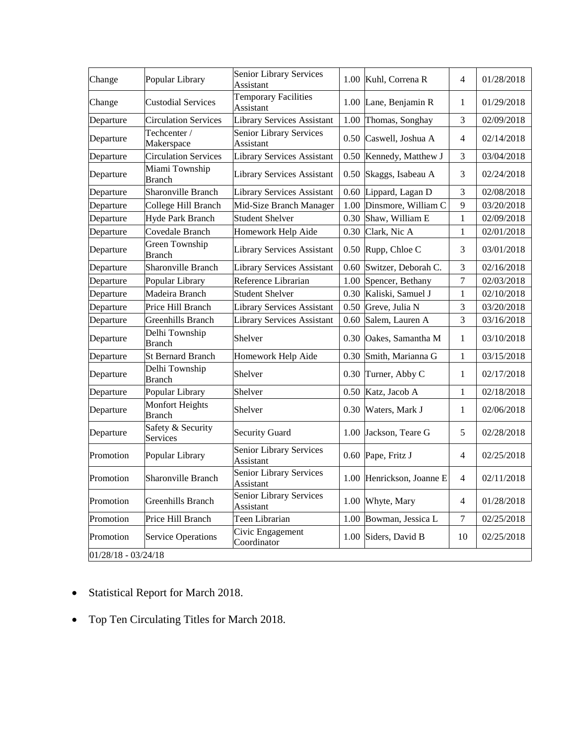| Change                | Popular Library                  | <b>Senior Library Services</b><br>Assistant |      | 1.00 Kuhl, Correna R      | $\overline{4}$ | 01/28/2018 |
|-----------------------|----------------------------------|---------------------------------------------|------|---------------------------|----------------|------------|
| Change                | <b>Custodial Services</b>        | <b>Temporary Facilities</b><br>Assistant    |      | 1.00 Lane, Benjamin R     | 1              | 01/29/2018 |
| Departure             | <b>Circulation Services</b>      | <b>Library Services Assistant</b>           | 1.00 | Thomas, Songhay           | 3              | 02/09/2018 |
| Departure             | Techcenter /<br>Makerspace       | Senior Library Services<br>Assistant        |      | 0.50 Caswell, Joshua A    | 4              | 02/14/2018 |
| Departure             | <b>Circulation Services</b>      | <b>Library Services Assistant</b>           | 0.50 | Kennedy, Matthew J        | 3              | 03/04/2018 |
| Departure             | Miami Township<br><b>Branch</b>  | <b>Library Services Assistant</b>           |      | 0.50 Skaggs, Isabeau A    | 3              | 02/24/2018 |
| Departure             | Sharonville Branch               | <b>Library Services Assistant</b>           | 0.60 | Lippard, Lagan D          | 3              | 02/08/2018 |
| Departure             | College Hill Branch              | Mid-Size Branch Manager                     | 1.00 | Dinsmore, William C       | 9              | 03/20/2018 |
| Departure             | Hyde Park Branch                 | <b>Student Shelver</b>                      | 0.30 | Shaw, William E           | $\mathbf{1}$   | 02/09/2018 |
| Departure             | Covedale Branch                  | Homework Help Aide                          | 0.30 | Clark, Nic A              | 1              | 02/01/2018 |
| Departure             | Green Township<br><b>Branch</b>  | <b>Library Services Assistant</b>           |      | 0.50 Rupp, Chloe C        | 3              | 03/01/2018 |
| Departure             | Sharonville Branch               | <b>Library Services Assistant</b>           | 0.60 | Switzer, Deborah C.       | 3              | 02/16/2018 |
| Departure             | Popular Library                  | Reference Librarian                         | 1.00 | Spencer, Bethany          | 7              | 02/03/2018 |
| Departure             | Madeira Branch                   | <b>Student Shelver</b>                      | 0.30 | Kaliski, Samuel J         | 1              | 02/10/2018 |
| Departure             | Price Hill Branch                | <b>Library Services Assistant</b>           |      | 0.50 Greve, Julia N       | 3              | 03/20/2018 |
| Departure             | Greenhills Branch                | <b>Library Services Assistant</b>           | 0.60 | Salem, Lauren A           | 3              | 03/16/2018 |
| Departure             | Delhi Township<br><b>Branch</b>  | Shelver                                     | 0.30 | Oakes, Samantha M         | 1              | 03/10/2018 |
| Departure             | <b>St Bernard Branch</b>         | Homework Help Aide                          | 0.30 | Smith, Marianna G         | 1              | 03/15/2018 |
| Departure             | Delhi Township<br><b>Branch</b>  | Shelver                                     | 0.30 | Turner, Abby C            | 1              | 02/17/2018 |
| Departure             | Popular Library                  | Shelver                                     | 0.50 | Katz, Jacob A             | $\mathbf{1}$   | 02/18/2018 |
| Departure             | Monfort Heights<br><b>Branch</b> | Shelver                                     | 0.30 | Waters, Mark J            | 1              | 02/06/2018 |
| Departure             | Safety & Security<br>Services    | <b>Security Guard</b>                       |      | 1.00 Jackson, Teare G     | 5              | 02/28/2018 |
| Promotion             | Popular Library                  | Senior Library Services<br>Assistant        |      | 0.60 Pape, Fritz J        | $\overline{4}$ | 02/25/2018 |
| Promotion             | Sharonville Branch               | Senior Library Services<br>Assistant        |      | 1.00 Henrickson, Joanne E | 4              | 02/11/2018 |
| Promotion             | Greenhills Branch                | Senior Library Services<br>Assistant        |      | 1.00 Whyte, Mary          | $\overline{4}$ | 01/28/2018 |
| Promotion             | Price Hill Branch                | Teen Librarian                              | 1.00 | Bowman, Jessica L         | $\tau$         | 02/25/2018 |
| Promotion             | <b>Service Operations</b>        | Civic Engagement<br>Coordinator             | 1.00 | Siders, David B           | 10             | 02/25/2018 |
| $01/28/18 - 03/24/18$ |                                  |                                             |      |                           |                |            |

- Statistical Report for March 2018.
- Top Ten Circulating Titles for March 2018.